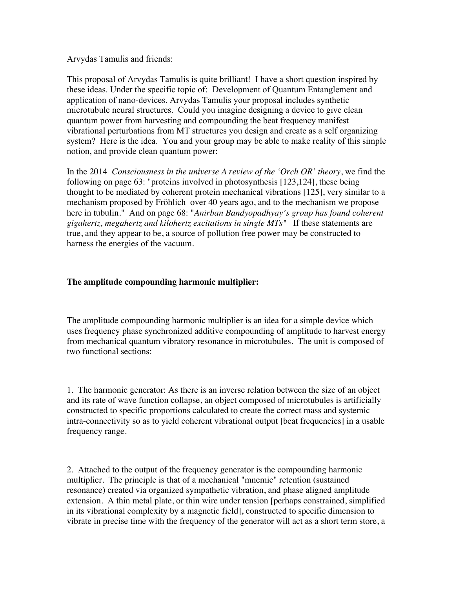Arvydas Tamulis and friends:

This proposal of Arvydas Tamulis is quite brilliant! I have a short question inspired by these ideas. Under the specific topic of: Development of Quantum Entanglement and application of nano-devices. Arvydas Tamulis your proposal includes synthetic microtubule neural structures. Could you imagine designing a device to give clean quantum power from harvesting and compounding the beat frequency manifest vibrational perturbations from MT structures you design and create as a self organizing system? Here is the idea. You and your group may be able to make reality of this simple notion, and provide clean quantum power:

In the 2014 *Consciousness in the universe A review of the 'Orch OR' theory*, we find the following on page 63: "proteins involved in photosynthesis [123,124], these being thought to be mediated by coherent protein mechanical vibrations [125], very similar to a mechanism proposed by Fröhlich over 40 years ago, and to the mechanism we propose here in tubulin." And on page 68: "*Anirban Bandyopadhyay's group has found coherent gigahertz, megahertz and kilohertz excitations in single MTs"* If these statements are true, and they appear to be, a source of pollution free power may be constructed to harness the energies of the vacuum.

## **The amplitude compounding harmonic multiplier:**

The amplitude compounding harmonic multiplier is an idea for a simple device which uses frequency phase synchronized additive compounding of amplitude to harvest energy from mechanical quantum vibratory resonance in microtubules. The unit is composed of two functional sections:

1. The harmonic generator: As there is an inverse relation between the size of an object and its rate of wave function collapse, an object composed of microtubules is artificially constructed to specific proportions calculated to create the correct mass and systemic intra-connectivity so as to yield coherent vibrational output [beat frequencies] in a usable frequency range.

2. Attached to the output of the frequency generator is the compounding harmonic multiplier. The principle is that of a mechanical "mnemic" retention (sustained resonance) created via organized sympathetic vibration, and phase aligned amplitude extension. A thin metal plate, or thin wire under tension [perhaps constrained, simplified in its vibrational complexity by a magnetic field], constructed to specific dimension to vibrate in precise time with the frequency of the generator will act as a short term store, a